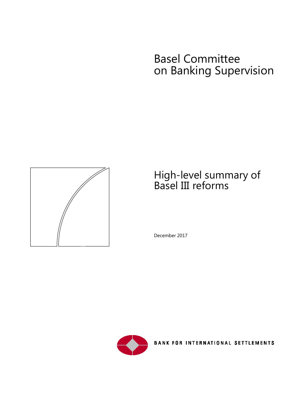# Basel Committee on Banking Supervision



## High-level summary of Basel III reforms

December 2017



**BANK FOR INTERNATIONAL SETTLEMENTS**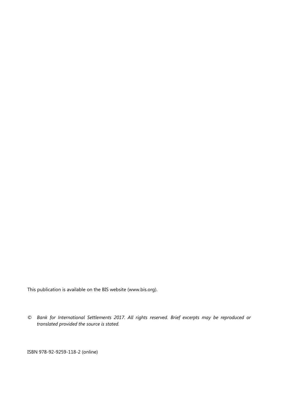This publication is available on the BIS website [\(www.bis.org\)](http://www.bis.org/).

*© Bank for International Settlements 2017. All rights reserved. Brief excerpts may be reproduced or translated provided the source is stated.*

ISBN 978-92-9259-118-2 (online)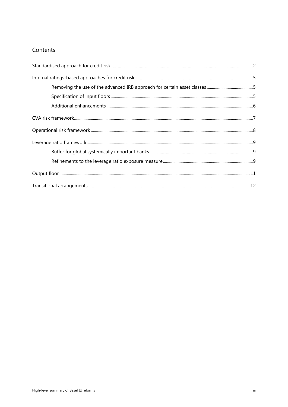#### Contents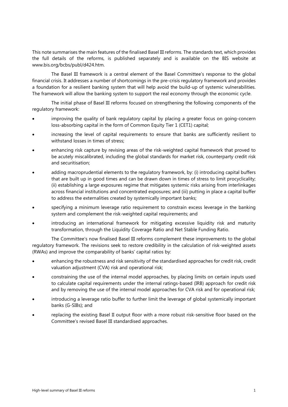This note summarises the main features of the finalised Basel III reforms. The standards text, which provides the full details of the reforms, is published separately and is available on the BIS website at www.bis.org/bcbs/publ/d424.htm.

The Basel III framework is a central element of the Basel Committee's response to the global financial crisis. It addresses a number of shortcomings in the pre-crisis regulatory framework and provides a foundation for a resilient banking system that will help avoid the build-up of systemic vulnerabilities. The framework will allow the banking system to support the real economy through the economic cycle.

The initial phase of Basel III reforms focused on strengthening the following components of the regulatory framework:

- improving the quality of bank regulatory capital by placing a greater focus on going-concern loss-absorbing capital in the form of Common Equity Tier 1 (CET1) capital;
- increasing the level of capital requirements to ensure that banks are sufficiently resilient to withstand losses in times of stress;
- enhancing risk capture by revising areas of the risk-weighted capital framework that proved to be acutely miscalibrated, including the global standards for market risk, counterparty credit risk and securitisation;
- adding macroprudential elements to the regulatory framework, by: (i) introducing capital buffers that are built up in good times and can be drawn down in times of stress to limit procyclicality; (ii) establishing a large exposures regime that mitigates systemic risks arising from interlinkages across financial institutions and concentrated exposures; and (iii) putting in place a capital buffer to address the externalities created by systemically important banks;
- specifying a minimum leverage ratio requirement to constrain excess leverage in the banking system and complement the risk-weighted capital requirements; and
- introducing an international framework for mitigating excessive liquidity risk and maturity transformation, through the Liquidity Coverage Ratio and Net Stable Funding Ratio.

The Committee's now finalised Basel III reforms complement these improvements to the global regulatory framework. The revisions seek to restore credibility in the calculation of risk-weighted assets (RWAs) and improve the comparability of banks' capital ratios by:

- enhancing the robustness and risk sensitivity of the standardised approaches for credit risk, credit valuation adjustment (CVA) risk and operational risk;
- constraining the use of the internal model approaches, by placing limits on certain inputs used to calculate capital requirements under the internal ratings-based (IRB) approach for credit risk and by removing the use of the internal model approaches for CVA risk and for operational risk;
- introducing a leverage ratio buffer to further limit the leverage of global systemically important banks (G-SIBs); and
- replacing the existing Basel II output floor with a more robust risk-sensitive floor based on the Committee's revised Basel III standardised approaches.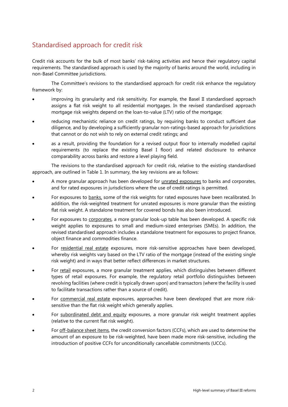## <span id="page-5-0"></span>Standardised approach for credit risk

Credit risk accounts for the bulk of most banks' risk-taking activities and hence their regulatory capital requirements. The standardised approach is used by the majority of banks around the world, including in non-Basel Committee jurisdictions.

The Committee's revisions to the standardised approach for credit risk enhance the regulatory framework by:

- improving its granularity and risk sensitivity. For example, the Basel II standardised approach assigns a flat risk weight to all residential mortgages. In the revised standardised approach mortgage risk weights depend on the loan-to-value (LTV) ratio of the mortgage;
- reducing mechanistic reliance on credit ratings, by requiring banks to conduct sufficient due diligence, and by developing a sufficiently granular non-ratings-based approach for jurisdictions that cannot or do not wish to rely on external credit ratings; and
- as a result, providing the foundation for a revised output floor to internally modelled capital requirements (to replace the existing Basel I floor) and related disclosure to enhance comparability across banks and restore a level playing field.

The revisions to the standardised approach for credit risk, relative to the existing standardised approach, are outlined in Table 1. In summary, the key revisions are as follows:

- A more granular approach has been developed for unrated exposures to banks and corporates, and for rated exposures in jurisdictions where the use of credit ratings is permitted.
- For exposures to banks, some of the risk weights for rated exposures have been recalibrated. In addition, the risk-weighted treatment for unrated exposures is more granular than the existing flat risk weight. A standalone treatment for covered bonds has also been introduced.
- For exposures to corporates, a more granular look-up table has been developed. A specific risk weight applies to exposures to small and medium-sized enterprises (SMEs). In addition, the revised standardised approach includes a standalone treatment for exposures to project finance, object finance and commodities finance.
- For residential real estate exposures, more risk-sensitive approaches have been developed, whereby risk weights vary based on the LTV ratio of the mortgage (instead of the existing single risk weight) and in ways that better reflect differences in market structures.
- For retail exposures, a more granular treatment applies, which distinguishes between different types of retail exposures. For example, the regulatory retail portfolio distinguishes between revolving facilities (where credit is typically drawn upon) and transactors (where the facility is used to facilitate transactions rather than a source of credit).
- For commercial real estate exposures, approaches have been developed that are more risksensitive than the flat risk weight which generally applies.
- For subordinated debt and equity exposures, a more granular risk weight treatment applies (relative to the current flat risk weight).
- For off-balance sheet items, the credit conversion factors (CCFs), which are used to determine the amount of an exposure to be risk-weighted, have been made more risk-sensitive, including the introduction of positive CCFs for unconditionally cancellable commitments (UCCs).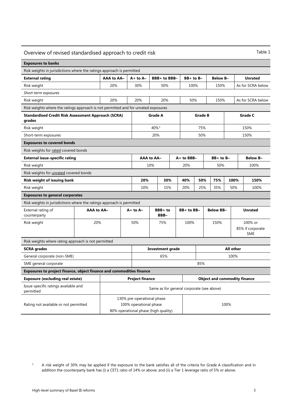| Table 1<br>Overview of revised standardised approach to credit risk                |                   |                                           |                                                                                                      |                         |                     |                   |             |                                |                |                 |                   |                             |                 |            |
|------------------------------------------------------------------------------------|-------------------|-------------------------------------------|------------------------------------------------------------------------------------------------------|-------------------------|---------------------|-------------------|-------------|--------------------------------|----------------|-----------------|-------------------|-----------------------------|-----------------|------------|
| <b>Exposures to banks</b>                                                          |                   |                                           |                                                                                                      |                         |                     |                   |             |                                |                |                 |                   |                             |                 |            |
| Risk weights in jurisdictions where the ratings approach is permitted              |                   |                                           |                                                                                                      |                         |                     |                   |             |                                |                |                 |                   |                             |                 |            |
| <b>External rating</b>                                                             |                   | AAA to AA-                                |                                                                                                      | $A+$ to $A-$            |                     | BBB+ to BBB-      |             | $BB+$ to $B-$                  |                | <b>Below B-</b> |                   |                             | <b>Unrated</b>  |            |
| Risk weight                                                                        |                   | 20%                                       | 30%<br>50%                                                                                           |                         |                     | 100%              |             | 150%                           |                |                 | As for SCRA below |                             |                 |            |
| Short-term exposures                                                               |                   |                                           |                                                                                                      |                         |                     |                   |             |                                |                |                 |                   |                             |                 |            |
| Risk weight                                                                        |                   | 20%                                       | 20%<br>20%                                                                                           |                         |                     |                   | 50%<br>150% |                                |                |                 | As for SCRA below |                             |                 |            |
| Risk weights where the ratings approach is not permitted and for unrated exposures |                   |                                           |                                                                                                      |                         |                     |                   |             |                                |                |                 |                   |                             |                 |            |
| <b>Standardised Credit Risk Assessment Approach (SCRA)</b><br>grades               |                   |                                           |                                                                                                      | <b>Grade A</b>          |                     |                   |             |                                | <b>Grade B</b> |                 |                   | <b>Grade C</b>              |                 |            |
| Risk weight                                                                        |                   |                                           |                                                                                                      |                         | $40\%$ <sup>1</sup> |                   |             |                                | 75%            |                 |                   |                             |                 | 150%       |
| Short-term exposures                                                               |                   |                                           |                                                                                                      |                         | 20%                 |                   |             |                                | 50%            |                 |                   |                             |                 | 150%       |
| <b>Exposures to covered bonds</b>                                                  |                   |                                           |                                                                                                      |                         |                     |                   |             |                                |                |                 |                   |                             |                 |            |
| Risk weights for rated covered bonds                                               |                   |                                           |                                                                                                      |                         |                     |                   |             |                                |                |                 |                   |                             |                 |            |
| <b>External issue-specific rating</b>                                              |                   |                                           |                                                                                                      |                         | AAA to AA-          |                   |             | A+ to BBB-                     |                | $BB+$ to $B-$   |                   |                             | <b>Below B-</b> |            |
| Risk weight                                                                        |                   |                                           |                                                                                                      | 10%                     |                     |                   | 20%         |                                |                | 50%             |                   |                             | 100%            |            |
| Risk weights for <i>unrated</i> covered bonds                                      |                   |                                           |                                                                                                      |                         |                     |                   |             |                                |                |                 |                   |                             |                 |            |
| Risk weight of issuing bank                                                        |                   |                                           | 30%<br>20%                                                                                           |                         |                     | 40%<br>50%<br>75% |             |                                | 100%           |                 | 150%              |                             |                 |            |
| Risk weight                                                                        |                   |                                           | 10%                                                                                                  | 15%                     |                     | 20%               | 25%<br>35%  |                                |                | 50%<br>100%     |                   |                             |                 |            |
| <b>Exposures to general corporates</b>                                             |                   |                                           |                                                                                                      |                         |                     |                   |             |                                |                |                 |                   |                             |                 |            |
| Risk weights in jurisdictions where the ratings approach is permitted              |                   |                                           |                                                                                                      |                         |                     |                   |             |                                |                |                 |                   |                             |                 |            |
| External rating of<br>counterparty                                                 | <b>AAA to AA-</b> |                                           |                                                                                                      | $A+$ to $A-$            |                     | BBB+ to<br>BBB-   |             | BB+ to BB-<br><b>Below BB-</b> |                |                 | <b>Unrated</b>    |                             |                 |            |
| Risk weight                                                                        | 20%               |                                           |                                                                                                      | 50%<br>75%              |                     |                   | 100%        |                                | 150%           |                 |                   | 100% or<br>85% if corporate |                 |            |
|                                                                                    |                   |                                           |                                                                                                      |                         |                     |                   |             |                                |                |                 |                   |                             |                 | <b>SME</b> |
| Risk weights where rating approach is not permitted                                |                   |                                           |                                                                                                      |                         |                     |                   |             |                                |                |                 |                   |                             |                 |            |
| <b>SCRA</b> grades                                                                 |                   |                                           |                                                                                                      | <b>Investment grade</b> |                     |                   |             |                                |                |                 |                   | All other                   |                 |            |
| General corporate (non-SME)                                                        |                   |                                           |                                                                                                      | 100%<br>65%             |                     |                   |             |                                |                |                 |                   |                             |                 |            |
| SME general corporate<br>85%                                                       |                   |                                           |                                                                                                      |                         |                     |                   |             |                                |                |                 |                   |                             |                 |            |
| Exposures to project finance, object finance and commodities finance               |                   |                                           |                                                                                                      |                         |                     |                   |             |                                |                |                 |                   |                             |                 |            |
| <b>Exposure (excluding real estate)</b>                                            |                   |                                           | <b>Project finance</b><br><b>Object and commodity finance</b>                                        |                         |                     |                   |             |                                |                |                 |                   |                             |                 |            |
| Issue-specific ratings available and<br>permitted                                  |                   | Same as for general corporate (see above) |                                                                                                      |                         |                     |                   |             |                                |                |                 |                   |                             |                 |            |
| Rating not available or not permitted                                              |                   |                                           | 130% pre-operational phase<br>100% operational phase<br>100%<br>80% operational phase (high quality) |                         |                     |                   |             |                                |                |                 |                   |                             |                 |            |

<span id="page-6-0"></span><sup>1</sup> A risk weight of 30% may be applied if the exposure to the bank satisfies all of the criteria for Grade A classification and in addition the counterparty bank has (i) a CET1 ratio of 14% or above; and (ii) a Tier 1 leverage ratio of 5% or above.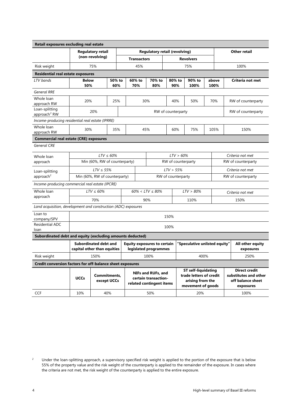| Retail exposures excluding real estate                         |                          |                                                             |               |                                                                        |                       |                               |                                                                                                |                        |      |                     |                               |                                                                                 |
|----------------------------------------------------------------|--------------------------|-------------------------------------------------------------|---------------|------------------------------------------------------------------------|-----------------------|-------------------------------|------------------------------------------------------------------------------------------------|------------------------|------|---------------------|-------------------------------|---------------------------------------------------------------------------------|
|                                                                | <b>Regulatory retail</b> |                                                             |               | <b>Regulatory retail (revolving)</b>                                   |                       |                               |                                                                                                |                        |      | <b>Other retail</b> |                               |                                                                                 |
|                                                                |                          | (non-revolving)                                             |               | <b>Transactors</b>                                                     |                       |                               | <b>Revolvers</b>                                                                               |                        |      |                     |                               |                                                                                 |
| Risk weight                                                    |                          | 75%                                                         |               | 45%                                                                    | 75%                   |                               |                                                                                                |                        | 100% |                     |                               |                                                                                 |
| <b>Residential real estate exposures</b>                       |                          |                                                             |               |                                                                        |                       |                               |                                                                                                |                        |      |                     |                               |                                                                                 |
| LTV bands                                                      | <b>Below</b><br>50%      |                                                             | 50% to<br>60% | 60% to<br>70%                                                          | 70% to<br>80%         |                               | 80% to<br>90%                                                                                  | 90% to<br>100%<br>100% |      | above               | Criteria not met              |                                                                                 |
| <b>General RRE</b>                                             |                          |                                                             |               |                                                                        |                       |                               |                                                                                                |                        |      |                     |                               |                                                                                 |
| Whole loan<br>approach RW                                      | 20%                      |                                                             | 25%           |                                                                        | 30%                   |                               | 40%                                                                                            | 50%                    |      | 70%                 | RW of counterparty            |                                                                                 |
| Loan-splitting<br>approach <sup>2</sup> RW                     |                          | 20%                                                         |               |                                                                        |                       | RW of counterparty            |                                                                                                |                        |      |                     |                               | RW of counterparty                                                              |
| Income-producing residential real estate (IPRRE)               |                          |                                                             |               |                                                                        |                       |                               |                                                                                                |                        |      |                     |                               |                                                                                 |
| Whole loan<br>approach RW                                      | 30%                      |                                                             | 35%           |                                                                        | 45%                   |                               | 60%                                                                                            | 75%                    |      | 105%                |                               | 150%                                                                            |
| <b>Commercial real estate (CRE) exposures</b>                  |                          |                                                             |               |                                                                        |                       |                               |                                                                                                |                        |      |                     |                               |                                                                                 |
| <b>General CRE</b>                                             |                          |                                                             |               |                                                                        |                       |                               |                                                                                                |                        |      |                     |                               |                                                                                 |
| Whole loan                                                     |                          | $LTV \leq 60\%$                                             |               |                                                                        |                       |                               | $LTV > 60\%$                                                                                   |                        |      |                     |                               | Criteria not met                                                                |
| approach                                                       |                          | Min (60%, RW of counterparty)<br>RW of counterparty         |               |                                                                        |                       |                               |                                                                                                | RW of counterparty     |      |                     |                               |                                                                                 |
| Loan-splitting                                                 |                          | $LTV \leq 55\%$                                             |               |                                                                        | $LTV$ > 55%           |                               |                                                                                                |                        |      | Criteria not met    |                               |                                                                                 |
| approach <sup>2</sup>                                          |                          | Min (60%, RW of counterparty)                               |               |                                                                        | RW of counterparty    |                               |                                                                                                |                        |      |                     |                               | RW of counterparty                                                              |
| Income-producing commercial real estate (IPCRE)                |                          |                                                             |               |                                                                        |                       |                               |                                                                                                |                        |      |                     |                               |                                                                                 |
| Whole loan                                                     |                          | $LTV \leq 60\%$                                             |               |                                                                        | $60\% < LTV \le 80\%$ | $LTV > 80\%$                  |                                                                                                |                        |      |                     |                               | Criteria not met                                                                |
| approach                                                       |                          | 70%                                                         |               |                                                                        | 90%                   | 110%                          |                                                                                                |                        | 150% |                     |                               |                                                                                 |
| Land acquisition, development and construction (ADC) exposures |                          |                                                             |               |                                                                        |                       |                               |                                                                                                |                        |      |                     |                               |                                                                                 |
| Loan to<br>company/SPV                                         | 150%                     |                                                             |               |                                                                        |                       |                               |                                                                                                |                        |      |                     |                               |                                                                                 |
| Residential ADC<br>loan                                        | 100%                     |                                                             |               |                                                                        |                       |                               |                                                                                                |                        |      |                     |                               |                                                                                 |
| Subordinated debt and equity (excluding amounts deducted)      |                          |                                                             |               |                                                                        |                       |                               |                                                                                                |                        |      |                     |                               |                                                                                 |
|                                                                |                          | <b>Subordinated debt and</b><br>capital other than equities |               | <b>Equity exposures to certain</b><br>legislated programmes            |                       | 'Speculative unlisted equity" |                                                                                                |                        |      |                     | All other equity<br>exposures |                                                                                 |
| Risk weight                                                    |                          | 150%                                                        |               | 100%<br>400%                                                           |                       |                               |                                                                                                |                        | 250% |                     |                               |                                                                                 |
| Credit conversion factors for off-balance sheet exposures      |                          |                                                             |               |                                                                        |                       |                               |                                                                                                |                        |      |                     |                               |                                                                                 |
|                                                                | <b>UCCs</b>              | Commitments,<br>except UCCs                                 |               | NIFs and RUFs, and<br>certain transaction-<br>related contingent items |                       |                               | <b>ST self-liquidating</b><br>trade letters of credit<br>arising from the<br>movement of goods |                        |      |                     |                               | <b>Direct credit</b><br>substitutes and other<br>off balance sheet<br>exposures |
| <b>CCF</b>                                                     | 10%                      | 40%                                                         |               | 50%                                                                    |                       |                               |                                                                                                | 20%                    |      |                     | 100%                          |                                                                                 |

<span id="page-7-0"></span><sup>&</sup>lt;sup>2</sup> Under the loan-splitting approach, a supervisory specified risk weight is applied to the portion of the exposure that is below 55% of the property value and the risk weight of the counterparty is applied to the remainder of the exposure. In cases where the criteria are not met, the risk weight of the counterparty is applied to the entire exposure.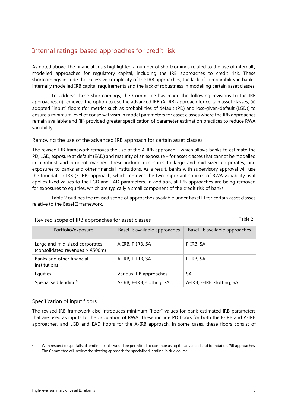#### <span id="page-8-0"></span>Internal ratings-based approaches for credit risk

As noted above, the financial crisis highlighted a number of shortcomings related to the use of internally modelled approaches for regulatory capital, including the IRB approaches to credit risk. These shortcomings include the excessive complexity of the IRB approaches, the lack of comparability in banks' internally modelled IRB capital requirements and the lack of robustness in modelling certain asset classes.

To address these shortcomings, the Committee has made the following revisions to the IRB approaches: (i) removed the option to use the advanced IRB (A-IRB) approach for certain asset classes; (ii) adopted "input" floors (for metrics such as probabilities of default (PD) and loss-given-default (LGD)) to ensure a minimum level of conservativism in model parameters for asset classes where the IRB approaches remain available; and (iii) provided greater specification of parameter estimation practices to reduce RWA variability.

#### <span id="page-8-1"></span>Removing the use of the advanced IRB approach for certain asset classes

The revised IRB framework removes the use of the A-IRB approach – which allows banks to estimate the PD, LGD, exposure at default (EAD) and maturity of an exposure – for asset classes that cannot be modelled in a robust and prudent manner. These include exposures to large and mid-sized corporates, and exposures to banks and other financial institutions. As a result, banks with supervisory approval will use the foundation IRB (F-IRB) approach, which removes the two important sources of RWA variability as it applies fixed values to the LGD and EAD parameters. In addition, all IRB approaches are being removed for exposures to equities, which are typically a small component of the credit risk of banks.

Table 2 outlines the revised scope of approaches available under Basel III for certain asset classes relative to the Basel II framework.

| Table 2<br>Revised scope of IRB approaches for asset classes        |                                |                            |                                 |  |  |  |
|---------------------------------------------------------------------|--------------------------------|----------------------------|---------------------------------|--|--|--|
| Portfolio/exposure                                                  | Basel II: available approaches |                            | Basel III: available approaches |  |  |  |
| Large and mid-sized corporates<br>(consolidated revenues $>$ €500m) | A-IRB, F-IRB, SA               | F-IRB, SA                  |                                 |  |  |  |
| Banks and other financial<br>institutions                           | A-IRB, F-IRB, SA               | F-IRB, SA                  |                                 |  |  |  |
| Equities                                                            | Various IRB approaches         | SA                         |                                 |  |  |  |
| Specialised lending <sup>3</sup>                                    | A-IRB, F-IRB, slotting, SA     | A-IRB, F-IRB, slotting, SA |                                 |  |  |  |

#### <span id="page-8-2"></span>Specification of input floors

The revised IRB framework also introduces minimum "floor" values for bank-estimated IRB parameters that are used as inputs to the calculation of RWA. These include PD floors for both the F-IRB and A-IRB approaches, and LGD and EAD floors for the A-IRB approach. In some cases, these floors consist of

<span id="page-8-3"></span>With respect to specialised lending, banks would be permitted to continue using the advanced and foundation IRB approaches. The Committee will review the slotting approach for specialised lending in due course.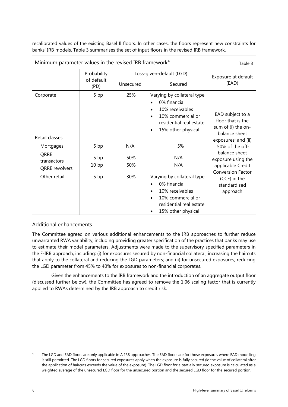recalibrated values of the existing Basel II floors. In other cases, the floors represent new constraints for banks' IRB models. Table 3 summarises the set of input floors in the revised IRB framework.

| Minimum parameter values in the revised IRB framework <sup>4</sup>                           |                                          |                          |                                                                                                                                                                                    |                                                                              |                                                                                                                                                                            |  |
|----------------------------------------------------------------------------------------------|------------------------------------------|--------------------------|------------------------------------------------------------------------------------------------------------------------------------------------------------------------------------|------------------------------------------------------------------------------|----------------------------------------------------------------------------------------------------------------------------------------------------------------------------|--|
| Probability                                                                                  |                                          | Loss-given-default (LGD) |                                                                                                                                                                                    | Exposure at default                                                          |                                                                                                                                                                            |  |
|                                                                                              | of default<br>Unsecured<br>(PD)          |                          | Secured                                                                                                                                                                            | (EAD)                                                                        |                                                                                                                                                                            |  |
| Corporate                                                                                    | 5 bp                                     | 25%                      | Varying by collateral type:<br>0% financial<br>10% receivables<br>$\bullet$<br>10% commercial or<br>٠<br>residential real estate<br>15% other physical<br>$\bullet$                | EAD subject to a<br>floor that is the<br>sum of (i) the on-<br>balance sheet |                                                                                                                                                                            |  |
| Retail classes:<br>Mortgages<br>QRRE<br>transactors<br><b>QRRE</b> revolvers<br>Other retail | 5 bp<br>5 bp<br>10 <sub>bp</sub><br>5 bp | N/A<br>50%<br>50%<br>30% | 5%<br>N/A<br>N/A<br>Varying by collateral type:<br>0% financial<br>$\bullet$<br>10% receivables<br>$\bullet$<br>10% commercial or<br>residential real estate<br>15% other physical |                                                                              | exposures; and (ii)<br>50% of the off-<br>balance sheet<br>exposure using the<br>applicable Credit<br><b>Conversion Factor</b><br>(CCF) in the<br>standardised<br>approach |  |

#### <span id="page-9-0"></span>Additional enhancements

The Committee agreed on various additional enhancements to the IRB approaches to further reduce unwarranted RWA variability, including providing greater specification of the practices that banks may use to estimate their model parameters. Adjustments were made to the supervisory specified parameters in the F-IRB approach, including: (i) for exposures secured by non-financial collateral, increasing the haircuts that apply to the collateral and reducing the LGD parameters; and (ii) for unsecured exposures, reducing the LGD parameter from 45% to 40% for exposures to non-financial corporates.

Given the enhancements to the IRB framework and the introduction of an aggregate output floor (discussed further below), the Committee has agreed to remove the 1.06 scaling factor that is currently applied to RWAs determined by the IRB approach to credit risk.

<span id="page-9-1"></span>The LGD and EAD floors are only applicable in A-IRB approaches. The EAD floors are for those exposures where EAD modelling is still permitted. The LGD floors for secured exposures apply when the exposure is fully secured (ie the value of collateral after the application of haircuts exceeds the value of the exposure). The LGD floor for a partially secured exposure is calculated as a weighted average of the unsecured LGD floor for the unsecured portion and the secured LGD floor for the secured portion.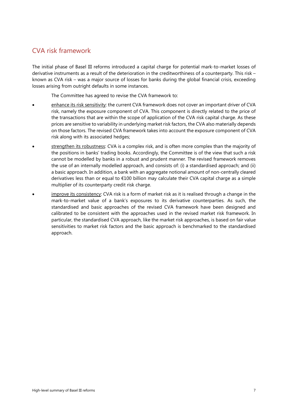### <span id="page-10-0"></span>CVA risk framework

The initial phase of Basel III reforms introduced a capital charge for potential mark-to-market losses of derivative instruments as a result of the deterioration in the creditworthiness of a counterparty. This risk – known as CVA risk – was a major source of losses for banks during the global financial crisis, exceeding losses arising from outright defaults in some instances.

The Committee has agreed to revise the CVA framework to:

- enhance its risk sensitivity: the current CVA framework does not cover an important driver of CVA risk, namely the exposure component of CVA. This component is directly related to the price of the transactions that are within the scope of application of the CVA risk capital charge. As these prices are sensitive to variability in underlying market risk factors, the CVA also materially depends on those factors. The revised CVA framework takes into account the exposure component of CVA risk along with its associated hedges;
- strengthen its robustness: CVA is a complex risk, and is often more complex than the majority of the positions in banks' trading books. Accordingly, the Committee is of the view that such a risk cannot be modelled by banks in a robust and prudent manner. The revised framework removes the use of an internally modelled approach, and consists of: (i) a standardised approach; and (ii) a basic approach. In addition, a bank with an aggregate notional amount of non-centrally cleared derivatives less than or equal to €100 billion may calculate their CVA capital charge as a simple multiplier of its counterparty credit risk charge.
- improve its consistency: CVA risk is a form of market risk as it is realised through a change in the mark-to-market value of a bank's exposures to its derivative counterparties. As such, the standardised and basic approaches of the revised CVA framework have been designed and calibrated to be consistent with the approaches used in the revised market risk framework. In particular, the standardised CVA approach, like the market risk approaches, is based on fair value sensitivities to market risk factors and the basic approach is benchmarked to the standardised approach.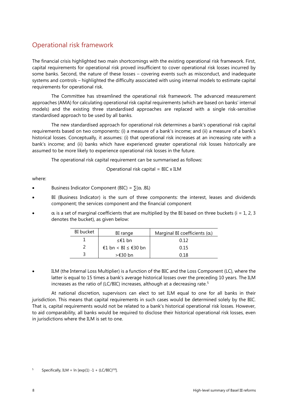## <span id="page-11-0"></span>Operational risk framework

The financial crisis highlighted two main shortcomings with the existing operational risk framework. First, capital requirements for operational risk proved insufficient to cover operational risk losses incurred by some banks. Second, the nature of these losses – covering events such as misconduct, and inadequate systems and controls – highlighted the difficulty associated with using internal models to estimate capital requirements for operational risk.

The Committee has streamlined the operational risk framework. The advanced measurement approaches (AMA) for calculating operational risk capital requirements (which are based on banks' internal models) and the existing three standardised approaches are replaced with a single risk-sensitive standardised approach to be used by all banks.

The new standardised approach for operational risk determines a bank's operational risk capital requirements based on two components: (i) a measure of a bank's income; and (ii) a measure of a bank's historical losses. Conceptually, it assumes: (i) that operational risk increases at an increasing rate with a bank's income; and (ii) banks which have experienced greater operational risk losses historically are assumed to be more likely to experience operational risk losses in the future.

The operational risk capital requirement can be summarised as follows:

$$
Operational risk capital = BIC \times ILM
$$

where:

- Business Indicator Component (BIC) =  $\sum (\alpha_i \cdot BI_i)$
- BI (Business Indicator) is the sum of three components: the interest, leases and dividends component; the services component and the financial component
- $\alpha_i$  is a set of marginal coefficients that are multiplied by the BI based on three buckets (i = 1, 2, 3 denotes the bucket), as given below:

| <b>BI</b> bucket | BI range                 | Marginal BI coefficients $(\alpha_i)$ |
|------------------|--------------------------|---------------------------------------|
|                  | ≤€1 bn                   | 0.12                                  |
|                  | €1 bn < BI $\leq$ €30 bn | 0.15                                  |
|                  | >€30 bn                  | በ 18                                  |

• ILM (the Internal Loss Multiplier) is a function of the BIC and the Loss Component (LC), where the latter is equal to 15 times a bank's average historical losses over the preceding 10 years. The ILM increases as the ratio of (LC/BIC) increases, although at a decreasing rate.<sup>[5](#page-11-1)</sup>

At national discretion, supervisors can elect to set ILM equal to one for all banks in their jurisdiction. This means that capital requirements in such cases would be determined solely by the BIC. That is, capital requirements would not be related to a bank's historical operational risk losses. However, to aid comparability, all banks would be required to disclose their historical operational risk losses, even in jurisdictions where the ILM is set to one.

<span id="page-11-1"></span><sup>5</sup> Specifically, ILM = ln [exp(1) -1 + (LC/BIC)<sup>0.8</sup>].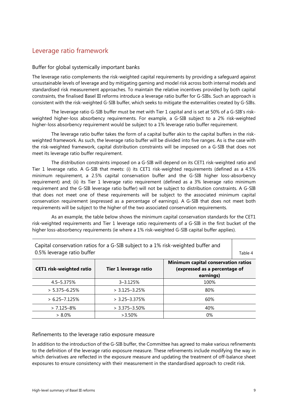## <span id="page-12-0"></span>Leverage ratio framework

#### <span id="page-12-1"></span>Buffer for global systemically important banks

The leverage ratio complements the risk-weighted capital requirements by providing a safeguard against unsustainable levels of leverage and by mitigating gaming and model risk across both internal models and standardised risk measurement approaches. To maintain the relative incentives provided by both capital constraints, the finalised Basel III reforms introduce a leverage ratio buffer for G-SIBs. Such an approach is consistent with the risk-weighted G-SIB buffer, which seeks to mitigate the externalities created by G-SIBs.

The leverage ratio G-SIB buffer must be met with Tier 1 capital and is set at 50% of a G-SIB's riskweighted higher-loss absorbency requirements. For example, a G-SIB subject to a 2% risk-weighted higher-loss absorbency requirement would be subject to a 1% leverage ratio buffer requirement.

The leverage ratio buffer takes the form of a capital buffer akin to the capital buffers in the riskweighted framework. As such, the leverage ratio buffer will be divided into five ranges. As is the case with the risk-weighted framework, capital distribution constraints will be imposed on a G-SIB that does not meet its leverage ratio buffer requirement.

The distribution constraints imposed on a G-SIB will depend on its CET1 risk-weighted ratio and Tier 1 leverage ratio. A G-SIB that meets: (i) its CET1 risk-weighted requirements (defined as a 4.5% minimum requirement, a 2.5% capital conservation buffer and the G-SIB higher loss-absorbency requirement) and; (ii) its Tier 1 leverage ratio requirement (defined as a 3% leverage ratio minimum requirement and the G-SIB leverage ratio buffer) will not be subject to distribution constraints. A G-SIB that does not meet one of these requirements will be subject to the associated minimum capital conservation requirement (expressed as a percentage of earnings). A G-SIB that does not meet both requirements will be subject to the higher of the two associated conservation requirements.

As an example, the table below shows the minimum capital conservation standards for the CET1 risk-weighted requirements and Tier 1 leverage ratio requirements of a G-SIB in the first bucket of the higher loss-absorbency requirements (ie where a 1% risk-weighted G-SIB capital buffer applies).

| <b>CET1</b> risk-weighted ratio | Tier 1 leverage ratio | Minimum capital conservation ratios<br>(expressed as a percentage of<br>earnings) |
|---------------------------------|-----------------------|-----------------------------------------------------------------------------------|
| 4.5–5.375%                      | $3 - 3.125%$          | 100%                                                                              |
| $> 5.375 - 6.25%$               | $> 3.125 - 3.25%$     | 80%                                                                               |
| $> 6.25 - 7.125%$               | $> 3.25 - 3.375%$     | 60%                                                                               |
| $> 7.125 - 8\%$                 | $> 3.375 - 3.50\%$    | 40%                                                                               |
| $> 8.0\%$                       | $>3.50\%$             | 0%                                                                                |

Capital conservation ratios for a G-SIB subject to a 1% risk-weighted buffer and 0.5% leverage ratio buffer Table 4

#### <span id="page-12-2"></span>Refinements to the leverage ratio exposure measure

In addition to the introduction of the G-SIB buffer, the Committee has agreed to make various refinements to the definition of the leverage ratio exposure measure. These refinements include modifying the way in which derivatives are reflected in the exposure measure and updating the treatment of off-balance sheet exposures to ensure consistency with their measurement in the standardised approach to credit risk.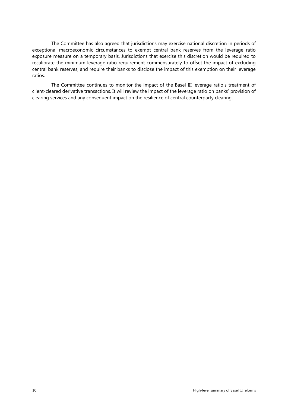The Committee has also agreed that jurisdictions may exercise national discretion in periods of exceptional macroeconomic circumstances to exempt central bank reserves from the leverage ratio exposure measure on a temporary basis. Jurisdictions that exercise this discretion would be required to recalibrate the minimum leverage ratio requirement commensurately to offset the impact of excluding central bank reserves, and require their banks to disclose the impact of this exemption on their leverage ratios.

The Committee continues to monitor the impact of the Basel III leverage ratio's treatment of client-cleared derivative transactions. It will review the impact of the leverage ratio on banks' provision of clearing services and any consequent impact on the resilience of central counterparty clearing.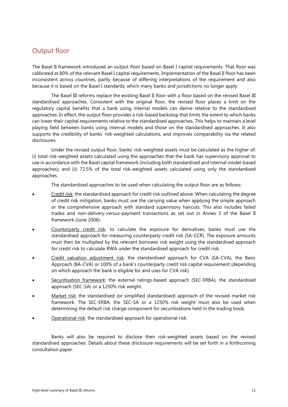## <span id="page-14-0"></span>Output floor

The Basel II framework introduced an output floor based on Basel I capital requirements. That floor was calibrated at 80% of the relevant Basel I capital requirements. Implementation of the Basel II floor has been inconsistent across countries, partly because of differing interpretations of the requirement and also because it is based on the Basel I standards, which many banks and jurisdictions no longer apply.

The Basel III reforms replace the existing Basel II floor with a floor based on the revised Basel III standardised approaches. Consistent with the original floor, the revised floor places a limit on the regulatory capital benefits that a bank using internal models can derive relative to the standardised approaches. In effect, the output floor provides a risk-based backstop that limits the extent to which banks can lower their capital requirements relative to the standardised approaches. This helps to maintain a level playing field between banks using internal models and those on the standardised approaches. It also supports the credibility of banks' risk-weighted calculations, and improves comparability via the related disclosures.

Under the revised output floor, banks' risk-weighted assets must be calculated as the higher of: (i) total risk-weighted assets calculated using the approaches that the bank has supervisory approval to use in accordance with the Basel capital framework (including both standardised and internal model-based approaches); and (ii) 72.5% of the total risk-weighted assets calculated using only the standardised approaches.

The standardised approaches to be used when calculating the output floor are as follows:

- Credit risk: the standardised approach for credit risk outlined above. When calculating the degree of credit risk mitigation, banks must use the carrying value when applying the simple approach or the comprehensive approach with standard supervisory haircuts. This also includes failed trades and non-delivery-versus-payment transactions as set out in Annex 3 of the Basel II framework (June 2006).
- Counterparty credit risk: to calculate the exposure for derivatives, banks must use the standardised approach for measuring counterparty credit risk (SA-CCR). The exposure amounts must then be multiplied by the relevant borrower risk weight using the standardised approach for credit risk to calculate RWA under the standardised approach for credit risk.
- Credit valuation adjustment risk: the standardised approach for CVA (SA-CVA), the Basic Approach (BA-CVA) or 100% of a bank's counterparty credit risk capital requirement (depending on which approach the bank is eligible for and uses for CVA risk).
- Securitisation framework: the external ratings-based approach (SEC-ERBA), the standardised approach (SEC-SA) or a 1250% risk weight.
- Market risk: the standardised (or simplified standardised) approach of the revised market risk framework. The SEC-ERBA, the SEC-SA or a 1250% risk weight must also be used when determining the default risk charge component for securitisations held in the trading book.
- Operational risk: the standardised approach for operational risk.

Banks will also be required to disclose their risk-weighted assets based on the revised standardised approaches. Details about these disclosure requirements will be set forth in a forthcoming consultation paper.